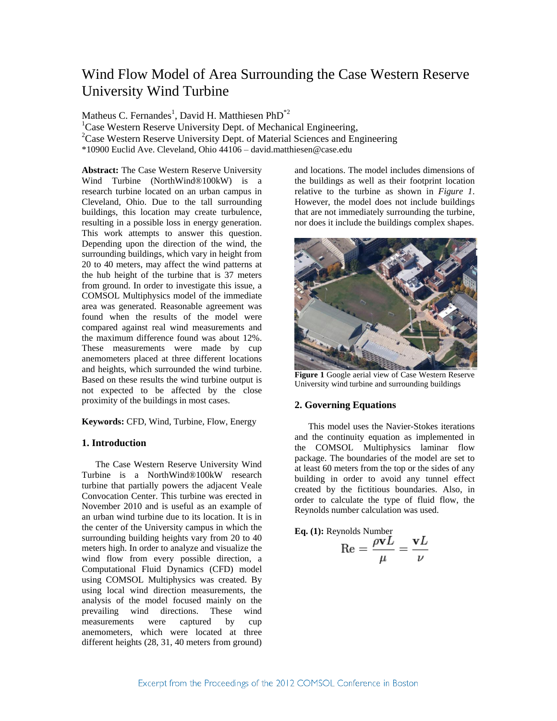# Wind Flow Model of Area Surrounding the Case Western Reserve University Wind Turbine

Matheus C. Fernandes<sup>1</sup>, David H. Matthiesen  $PhD^{\ast 2}$ 

<sup>1</sup>Case Western Reserve University Dept. of Mechanical Engineering,

<sup>2</sup>Case Western Reserve University Dept. of Material Sciences and Engineering

\*10900 Euclid Ave. Cleveland, Ohio 44106 – david.matthiesen@case.edu

**Abstract:** The Case Western Reserve University Wind Turbine (NorthWind®100kW) is a research turbine located on an urban campus in Cleveland, Ohio. Due to the tall surrounding buildings, this location may create turbulence, resulting in a possible loss in energy generation. This work attempts to answer this question. Depending upon the direction of the wind, the surrounding buildings, which vary in height from 20 to 40 meters, may affect the wind patterns at the hub height of the turbine that is 37 meters from ground. In order to investigate this issue, a COMSOL Multiphysics model of the immediate area was generated. Reasonable agreement was found when the results of the model were compared against real wind measurements and the maximum difference found was about 12%. These measurements were made by cup anemometers placed at three different locations and heights, which surrounded the wind turbine. Based on these results the wind turbine output is not expected to be affected by the close proximity of the buildings in most cases.

**Keywords:** CFD, Wind, Turbine, Flow, Energy

# **1. Introduction**

The Case Western Reserve University Wind Turbine is a NorthWind®100kW research turbine that partially powers the adjacent Veale Convocation Center. This turbine was erected in November 2010 and is useful as an example of an urban wind turbine due to its location. It is in the center of the University campus in which the surrounding building heights vary from 20 to 40 meters high. In order to analyze and visualize the wind flow from every possible direction, a Computational Fluid Dynamics (CFD) model using COMSOL Multiphysics was created. By using local wind direction measurements, the analysis of the model focused mainly on the prevailing wind directions. These wind<br>measurements were captured by cun measurements were captured by cup anemometers, which were located at three different heights (28, 31, 40 meters from ground)

and locations. The model includes dimensions of the buildings as well as their footprint location relative to the turbine as shown in *Figure 1*. However, the model does not include buildings that are not immediately surrounding the turbine, nor does it include the buildings complex shapes.



**Figure 1** Google aerial view of Case Western Reserve University wind turbine and surrounding buildings

# **2. Governing Equations**

This model uses the Navier-Stokes iterations and the continuity equation as implemented in the COMSOL Multiphysics laminar flow package. The boundaries of the model are set to at least 60 meters from the top or the sides of any building in order to avoid any tunnel effect created by the fictitious boundaries. Also, in order to calculate the type of fluid flow, the Reynolds number calculation was used.

**Eq. (1):** Reynolds Number  

$$
Re = \frac{\rho vL}{\mu} = \frac{vL}{\nu}
$$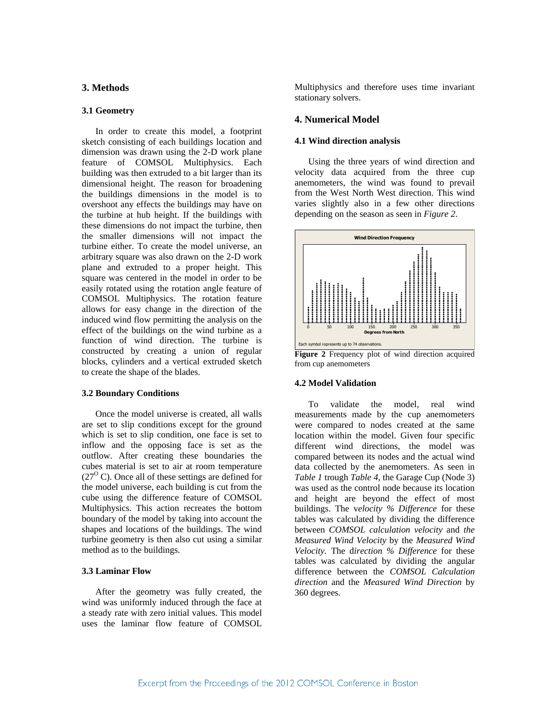## **3. Methods**

## **3.1 Geometry**

In order to create this model, a footprint sketch consisting of each buildings location and dimension was drawn using the 2-D work plane feature of COMSOL Multiphysics. Each building was then extruded to a bit larger than its dimensional height. The reason for broadening the buildings dimensions in the model is to overshoot any effects the buildings may have on the turbine at hub height. If the buildings with these dimensions do not impact the turbine, then the smaller dimensions will not impact the turbine either. To create the model universe, an arbitrary square was also drawn on the 2-D work plane and extruded to a proper height. This square was centered in the model in order to be easily rotated using the rotation angle feature of COMSOL Multiphysics. The rotation feature allows for easy change in the direction of the induced wind flow permitting the analysis on the effect of the buildings on the wind turbine as a function of wind direction. The turbine is constructed by creating a union of regular blocks, cylinders and a vertical extruded sketch to create the shape of the blades.

## **3.2 Boundary Conditions**

Once the model universe is created, all walls are set to slip conditions except for the ground which is set to slip condition, one face is set to inflow and the opposing face is set as the outflow. After creating these boundaries the cubes material is set to air at room temperature  $(27<sup>o</sup>$  C). Once all of these settings are defined for the model universe, each building is cut from the cube using the difference feature of COMSOL Multiphysics. This action recreates the bottom boundary of the model by taking into account the shapes and locations of the buildings. The wind turbine geometry is then also cut using a similar method as to the buildings.

# **3.3 Laminar Flow**

After the geometry was fully created, the wind was uniformly induced through the face at a steady rate with zero initial values. This model uses the laminar flow feature of COMSOL

Multiphysics and therefore uses time invariant stationary solvers.

## **4. Numerical Model**

#### **4.1 Wind direction analysis**

Using the three years of wind direction and velocity data acquired from the three cup anemometers, the wind was found to prevail from the West North West direction. This wind varies slightly also in a few other directions depending on the season as seen in *Figure 2*.



**Figure 2** Frequency plot of wind direction acquired from cup anemometers

# **4.2 Model Validation**

To validate the model, real wind measurements made by the cup anemometers were compared to nodes created at the same location within the model. Given four specific different wind directions, the model was compared between its nodes and the actual wind data collected by the anemometers. As seen in *Table 1* trough *Table 4*, the Garage Cup (Node 3) was used as the control node because its location and height are beyond the effect of most buildings. The v*elocity % Difference* for these tables was calculated by dividing the difference between *COMSOL calculation velocity* and *the Measured Wind Velocity* by the *Measured Wind Velocity.* The d*irection % Difference* for these tables was calculated by dividing the angular difference between the *COMSOL Calculation direction* and the *Measured Wind Direction* by 360 degrees.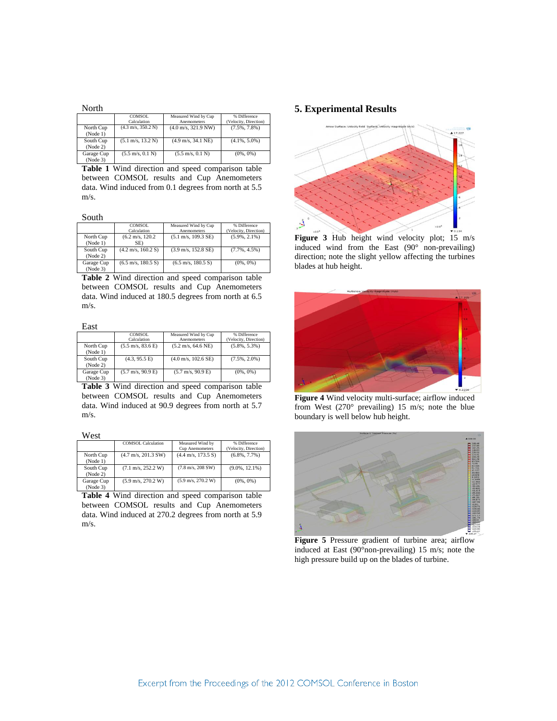| North                 |                                      |                                       |                                       |
|-----------------------|--------------------------------------|---------------------------------------|---------------------------------------|
|                       | COMSOL.<br>Calculation               | Measured Wind by Cup<br>Anemometers   | % Difference<br>(Velocity, Direction) |
| North Cup<br>(Note 1) | $(4.3 \text{ m/s}, 350.2 \text{ N})$ | $(4.0 \text{ m/s}, 321.9 \text{ NW})$ | $(7.5\%, 7.8\%)$                      |
| South Cup<br>(Note 2) | $(5.1 \text{ m/s}, 13.2 \text{ N})$  | $(4.9 \text{ m/s}, 34.1 \text{ NE})$  | $(4.1\%, 5.0\%)$                      |
| Garage Cup<br>(Note3) | $(5.5 \text{ m/s}, 0.1 \text{ N})$   | $(5.5 \text{ m/s}, 0.1 \text{ N})$    | $(0\%, 0\%)$                          |

**Table 1** Wind direction and speed comparison table between COMSOL results and Cup Anemometers data. Wind induced from 0.1 degrees from north at 5.5 m/s.

South

|            | COMSOL<br>Calculation                | Measured Wind by Cup<br>Anemometers   | % Difference<br>(Velocity, Direction) |
|------------|--------------------------------------|---------------------------------------|---------------------------------------|
| North Cup  | $(6.2 \text{ m/s}, 120.2)$           | $(5.1 \text{ m/s}, 109.3 \text{ SE})$ | $(5.9\%, 2.1\%)$                      |
| (Node 1)   | SE)                                  |                                       |                                       |
| South Cup  | $(4.2 \text{ m/s}, 160.2 \text{ S})$ | $(3.9 \text{ m/s}, 152.8 \text{ SE})$ | $(7.7\%, 4.5\%)$                      |
| (Node 2)   |                                      |                                       |                                       |
| Garage Cup | $(6.5 \text{ m/s}, 180.5 \text{ S})$ | $(6.5 \text{ m/s}, 180.5 \text{ S})$  | $(0\%, 0\%)$                          |
| (Note3)    |                                      |                                       |                                       |

**Table 2** Wind direction and speed comparison table between COMSOL results and Cup Anemometers data. Wind induced at 180.5 degrees from north at 6.5 m/s.

#### East

|            | COMSOL.                             | Measured Wind by Cup                  | % Difference          |
|------------|-------------------------------------|---------------------------------------|-----------------------|
|            | Calculation                         | <b>Anemometers</b>                    | (Velocity, Direction) |
| North Cup  | $(5.5 \text{ m/s}, 83.6 \text{ E})$ | $(5.2 \text{ m/s}, 64.6 \text{ NE})$  | $(5.8\%, 5.3\%)$      |
| (Node 1)   |                                     |                                       |                       |
| South Cup  | (4.3, 95.5 E)                       | $(4.0 \text{ m/s}, 102.6 \text{ SE})$ | $(7.5\%, 2.0\%)$      |
| (Node 2)   |                                     |                                       |                       |
| Garage Cup | $(5.7 \text{ m/s}, 90.9 \text{ E})$ | $(5.7 \text{ m/s}, 90.9 \text{ E})$   | $(0\%, 0\%)$          |
| (Note3)    |                                     |                                       |                       |

**Table 3** Wind direction and speed comparison table between COMSOL results and Cup Anemometers data. Wind induced at 90.9 degrees from north at 5.7 m/s.

West

|            | <b>COMSOL Calculation</b>             | Measured Wind by                     | % Difference          |
|------------|---------------------------------------|--------------------------------------|-----------------------|
|            |                                       | <b>Cup Anemometers</b>               | (Velocity, Direction) |
| North Cup  | $(4.7 \text{ m/s}, 201.3 \text{ SW})$ | $(4.4 \text{ m/s}, 173.5 \text{ S})$ | $(6.8\%, 7.7\%)$      |
| (Note 1)   |                                       |                                      |                       |
| South Cup  | $(7.1 \text{ m/s}, 252.2 \text{ W})$  | $(7.8 \text{ m/s}, 208 \text{ SW})$  | $(9.0\%, 12.1\%)$     |
| (Node 2)   |                                       |                                      |                       |
| Garage Cup | $(5.9 \text{ m/s}, 270.2 \text{ W})$  | $(5.9 \text{ m/s}, 270.2 \text{ W})$ | $(0\%, 0\%)$          |
| (Note3)    |                                       |                                      |                       |

**Table 4** Wind direction and speed comparison table between COMSOL results and Cup Anemometers data. Wind induced at 270.2 degrees from north at 5.9 m/s.

# **5. Experimental Results**



**Figure 3** Hub height wind velocity plot; 15 m/s induced wind from the East (90° non-prevailing) direction; note the slight yellow affecting the turbines blades at hub height.



**Figure 4** Wind velocity multi-surface; airflow induced from West  $(270^{\circ}$  prevailing) 15 m/s; note the blue boundary is well below hub height.



**Figure 5** Pressure gradient of turbine area; airflow induced at East (90°non-prevailing) 15 m/s; note the high pressure build up on the blades of turbine.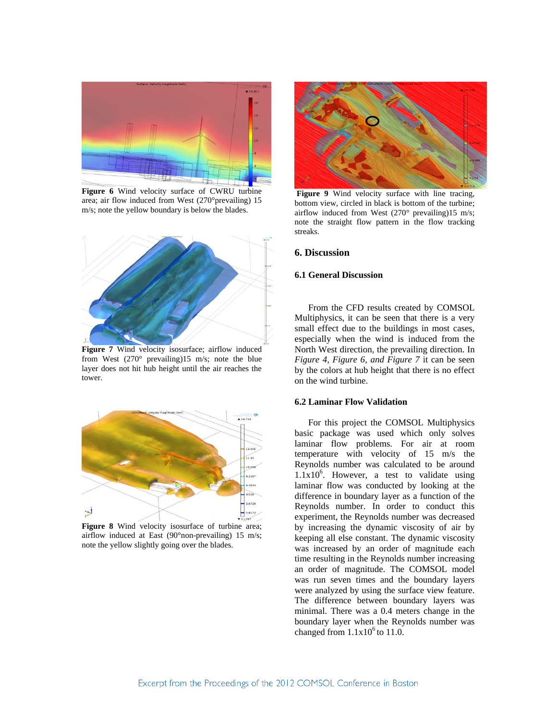

**Figure 6** Wind velocity surface of CWRU turbine area; air flow induced from West (270°prevailing) 15 m/s; note the yellow boundary is below the blades.



**Figure 7** Wind velocity isosurface; airflow induced from West (270° prevailing)15 m/s; note the blue layer does not hit hub height until the air reaches the tower.



**Figure 8** Wind velocity isosurface of turbine area; airflow induced at East (90°non-prevailing) 15 m/s; note the yellow slightly going over the blades.



**Figure 9** Wind velocity surface with line tracing, bottom view, circled in black is bottom of the turbine; airflow induced from West (270° prevailing)15 m/s; note the straight flow pattern in the flow tracking streaks.

# **6. Discussion**

# **6.1 General Discussion**

From the CFD results created by COMSOL Multiphysics, it can be seen that there is a very small effect due to the buildings in most cases, especially when the wind is induced from the North West direction, the prevailing direction. In *Figure 4, Figure 6, and Figure 7* it can be seen by the colors at hub height that there is no effect on the wind turbine.

## **6.2 Laminar Flow Validation**

For this project the COMSOL Multiphysics basic package was used which only solves laminar flow problems. For air at room temperature with velocity of 15 m/s the Reynolds number was calculated to be around  $1.1x10<sup>6</sup>$ . However, a test to validate using laminar flow was conducted by looking at the difference in boundary layer as a function of the Reynolds number. In order to conduct this experiment, the Reynolds number was decreased by increasing the dynamic viscosity of air by keeping all else constant. The dynamic viscosity was increased by an order of magnitude each time resulting in the Reynolds number increasing an order of magnitude. The COMSOL model was run seven times and the boundary layers were analyzed by using the surface view feature. The difference between boundary layers was minimal. There was a 0.4 meters change in the boundary layer when the Reynolds number was changed from  $1.1x10^6$  to 11.0.